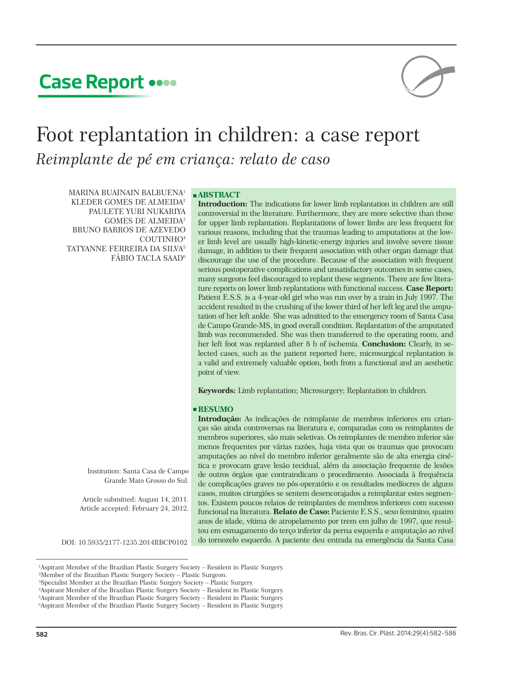# **Case Report**



# Foot replantation in children: a case report *Reimplante de pé em criança: relato de caso*

MARINA BUAINAIN BALBUENA1 KLEDER GOMES DE ALMEIDA2 PAULETE YURI NUKARIYA GOMES DE ALMEIDA3 BRUNO BARROS DE AZEVEDO COUTINHO4 TATYANNE FERREIRA DA SILVA5 FÁBIO TACLA SAAD6

## **ABSTRACT**

**Introduction:** The indications for lower limb replantation in children are still controversial in the literature. Furthermore, they are more selective than those for upper limb replantation. Replantations of lower limbs are less frequent for various reasons, including that the traumas leading to amputations at the lower limb level are usually high-kinetic-energy injuries and involve severe tissue damage, in addition to their frequent association with other organ damage that discourage the use of the procedure. Because of the association with frequent serious postoperative complications and unsatisfactory outcomes in some cases, many surgeons feel discouraged to replant these segments. There are few literature reports on lower limb replantations with functional success. **Case Report:** Patient E.S.S. is a 4-year-old girl who was run over by a train in July 1997. The accident resulted in the crushing of the lower third of her left leg and the amputation of her left ankle. She was admitted to the emergency room of Santa Casa de Campo Grande-MS, in good overall condition. Replantation of the amputated limb was recommended. She was then transferred to the operating room, and her left foot was replanted after 8 h of ischemia. **Conclusion:** Clearly, in selected cases, such as the patient reported here, microsurgical replantation is a valid and extremely valuable option, both from a functional and an aesthetic point of view.

**Keywords:** Limb replantation; Microsurgery; Replantation in children.

# **RESUMO**

**Introdução:** As indicações de reimplante de membros inferiores em crianças são ainda controversas na literatura e, comparadas com os reimplantes de membros superiores, são mais seletivas. Os reimplantes de membro inferior são menos frequentes por várias razões, haja vista que os traumas que provocam amputações ao nível do membro inferior geralmente são de alta energia cinética e provocam grave lesão tecidual, além da associação frequente de lesões de outros órgãos que contraindicam o procedimento. Associada à frequência de complicações graves no pós-operatório e os resultados medíocres de alguns casos, muitos cirurgiões se sentem desencorajados a reimplantar estes segmentos. Existem poucos relatos de reimplantes de membros inferiores com sucesso funcional na literatura. **Relato de Caso:** Paciente E.S.S., sexo feminino, quatro anos de idade, vítima de atropelamento por trem em julho de 1997, que resultou em esmagamento do terço inferior da perna esquerda e amputação ao nível DOI: 10.5935/2177-1235.2014RBCP0102 do tornozelo esquerdo. A paciente deu entrada na emergência da Santa Casa

Institution: Santa Casa de Campo Grande Mato Grosso do Sul.

Article submitted: August 14, 2011. Article accepted: February 24, 2012.

<sup>1</sup> Aspirant Member of the Brazilian Plastic Surgery Society – Resident in Plastic Surgery.

<sup>2</sup> Member of the Brazilian Plastic Surgery Society – Plastic Surgeon.

<sup>3</sup> Specialist Member at the Brazilian Plastic Surgery Society – Plastic Surgery.

<sup>4</sup> Aspirant Member of the Brazilian Plastic Surgery Society – Resident in Plastic Surgery.

<sup>5</sup> Aspirant Member of the Brazilian Plastic Surgery Society – Resident in Plastic Surgery.

<sup>6</sup> Aspirant Member of the Brazilian Plastic Surgery Society – Resident in Plastic Surgery.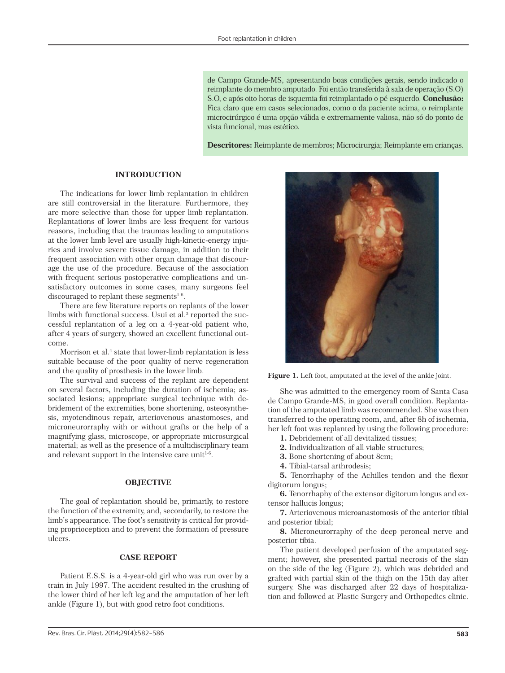de Campo Grande-MS, apresentando boas condições gerais, sendo indicado o reimplante do membro amputado. Foi então transferida à sala de operação (S.O) S.O, e após oito horas de isquemia foi reimplantado o pé esquerdo. **Conclusão:** Fica claro que em casos selecionados, como o da paciente acima, o reimplante microcirúrgico é uma opção válida e extremamente valiosa, não só do ponto de vista funcional, mas estético.

**Descritores:** Reimplante de membros; Microcirurgia; Reimplante em crianças.

## **INTRODUCTION**

The indications for lower limb replantation in children are still controversial in the literature. Furthermore, they are more selective than those for upper limb replantation. Replantations of lower limbs are less frequent for various reasons, including that the traumas leading to amputations at the lower limb level are usually high-kinetic-energy injuries and involve severe tissue damage, in addition to their frequent association with other organ damage that discourage the use of the procedure. Because of the association with frequent serious postoperative complications and unsatisfactory outcomes in some cases, many surgeons feel discouraged to replant these segments $1-6$ .

There are few literature reports on replants of the lower limbs with functional success. Usui et al. $^{\rm 3}$  reported the successful replantation of a leg on a 4-year-old patient who, after 4 years of surgery, showed an excellent functional outcome.

Morrison et al.<sup>4</sup> state that lower-limb replantation is less suitable because of the poor quality of nerve regeneration and the quality of prosthesis in the lower limb.

The survival and success of the replant are dependent on several factors, including the duration of ischemia; associated lesions; appropriate surgical technique with debridement of the extremities, bone shortening, osteosynthesis, myotendinous repair, arteriovenous anastomoses, and microneurorraphy with or without grafts or the help of a magnifying glass, microscope, or appropriate microsurgical material; as well as the presence of a multidisciplinary team and relevant support in the intensive care unit<sup> $1-6$ </sup>.

## **OBJECTIVE**

The goal of replantation should be, primarily, to restore the function of the extremity, and, secondarily, to restore the limb's appearance. The foot's sensitivity is critical for providing proprioception and to prevent the formation of pressure ulcers.

#### **CASE REPORT**

Patient E.S.S. is a 4-year-old girl who was run over by a train in July 1997. The accident resulted in the crushing of the lower third of her left leg and the amputation of her left ankle (Figure 1), but with good retro foot conditions.



**Figure 1.** Left foot, amputated at the level of the ankle joint.

She was admitted to the emergency room of Santa Casa de Campo Grande-MS, in good overall condition. Replantation of the amputated limb was recommended. She was then transferred to the operating room, and, after 8h of ischemia, her left foot was replanted by using the following procedure:

**1.** Debridement of all devitalized tissues;

**2.** Individualization of all viable structures;

**3.** Bone shortening of about 8cm;

**4.** Tibial-tarsal arthrodesis;

**5.** Tenorrhaphy of the Achilles tendon and the flexor digitorum longus;

**6.** Tenorrhaphy of the extensor digitorum longus and extensor hallucis longus;

**7.** Arteriovenous microanastomosis of the anterior tibial and posterior tibial;

**8.** Microneurorraphy of the deep peroneal nerve and posterior tibia.

The patient developed perfusion of the amputated segment; however, she presented partial necrosis of the skin on the side of the leg (Figure 2), which was debrided and grafted with partial skin of the thigh on the 15th day after surgery. She was discharged after 22 days of hospitalization and followed at Plastic Surgery and Orthopedics clinic.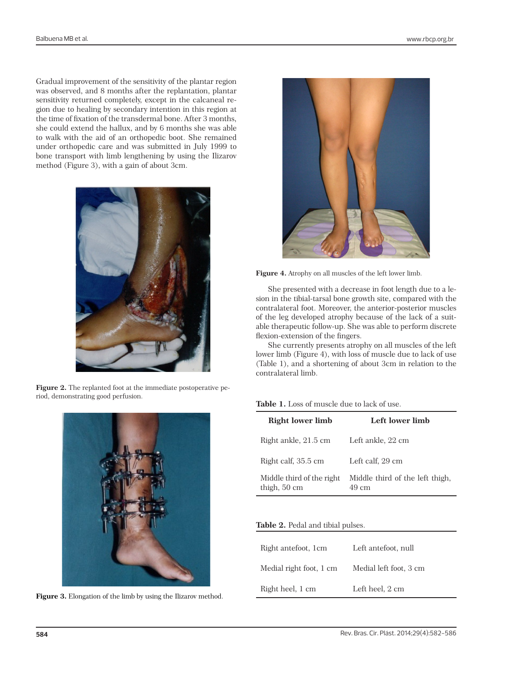Gradual improvement of the sensitivity of the plantar region was observed, and 8 months after the replantation, plantar sensitivity returned completely, except in the calcaneal region due to healing by secondary intention in this region at the time of fixation of the transdermal bone. After 3 months, she could extend the hallux, and by 6 months she was able to walk with the aid of an orthopedic boot. She remained under orthopedic care and was submitted in July 1999 to bone transport with limb lengthening by using the Ilizarov method (Figure 3), with a gain of about 3cm.



**Figure 2.** The replanted foot at the immediate postoperative period, demonstrating good perfusion.



Figure 3. Elongation of the limb by using the Ilizarov method.



**Figure 4.** Atrophy on all muscles of the left lower limb.

She presented with a decrease in foot length due to a lesion in the tibial-tarsal bone growth site, compared with the contralateral foot. Moreover, the anterior-posterior muscles of the leg developed atrophy because of the lack of a suitable therapeutic follow-up. She was able to perform discrete flexion-extension of the fingers.

She currently presents atrophy on all muscles of the left lower limb (Figure 4), with loss of muscle due to lack of use (Table 1), and a shortening of about 3cm in relation to the contralateral limb.

# **Table 1.** Loss of muscle due to lack of use.

| Right lower limb                          | Left lower limb                          |
|-------------------------------------------|------------------------------------------|
| Right ankle, 21.5 cm                      | Left ankle, 22 cm                        |
| Right calf, 35.5 cm                       | Left calf. 29 cm                         |
| Middle third of the right<br>thigh, 50 cm | Middle third of the left thigh,<br>49 cm |

# **Table 2.** Pedal and tibial pulses.

| Right antefoot, 1cm     | Left antefoot, null    |
|-------------------------|------------------------|
| Medial right foot, 1 cm | Medial left foot, 3 cm |
| Right heel, 1 cm        | Left heel, 2 cm        |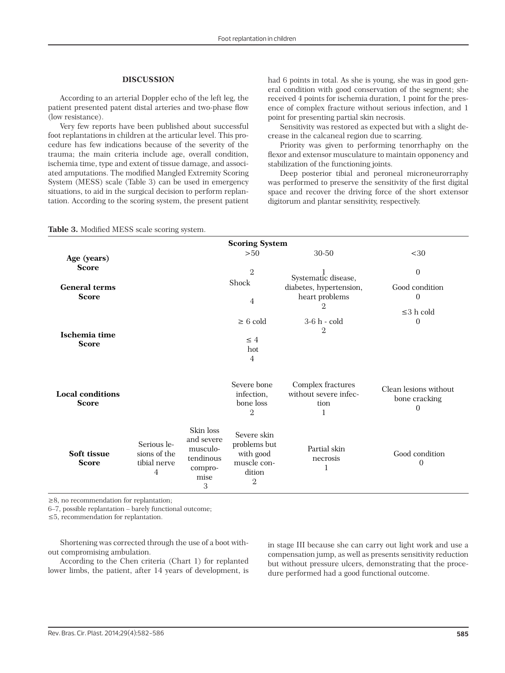## **DISCUSSION**

According to an arterial Doppler echo of the left leg, the patient presented patent distal arteries and two-phase flow (low resistance).

Very few reports have been published about successful foot replantations in children at the articular level. This procedure has few indications because of the severity of the trauma; the main criteria include age, overall condition, ischemia time, type and extent of tissue damage, and associated amputations. The modified Mangled Extremity Scoring System (MESS) scale (Table 3) can be used in emergency situations, to aid in the surgical decision to perform replantation. According to the scoring system, the present patient had 6 points in total. As she is young, she was in good general condition with good conservation of the segment; she received 4 points for ischemia duration, 1 point for the presence of complex fracture without serious infection, and 1 point for presenting partial skin necrosis.

Sensitivity was restored as expected but with a slight decrease in the calcaneal region due to scarring.

Priority was given to performing tenorrhaphy on the flexor and extensor musculature to maintain opponency and stabilization of the functioning joints.

Deep posterior tibial and peroneal microneurorraphy was performed to preserve the sensitivity of the first digital space and recover the driving force of the short extensor digitorum and plantar sensitivity, respectively.

# **Table 3.** Modified MESS scale scoring system.

| <b>Scoring System</b>                   |                                                  |                                                                          |                                                                                     |                                                         |                                                    |  |  |
|-----------------------------------------|--------------------------------------------------|--------------------------------------------------------------------------|-------------------------------------------------------------------------------------|---------------------------------------------------------|----------------------------------------------------|--|--|
| Age (years)                             |                                                  |                                                                          | >50                                                                                 | 30-50                                                   | $30$                                               |  |  |
| <b>Score</b>                            |                                                  |                                                                          | $\mathbf{2}$                                                                        | Systematic disease,                                     | $\mathbf{0}$                                       |  |  |
| <b>General terms</b><br><b>Score</b>    |                                                  | Shock                                                                    | diabetes, hypertension,                                                             | Good condition                                          |                                                    |  |  |
|                                         |                                                  | 4                                                                        | heart problems                                                                      | $\overline{0}$                                          |                                                    |  |  |
|                                         |                                                  |                                                                          |                                                                                     |                                                         | $\leq$ 3 h cold                                    |  |  |
|                                         |                                                  |                                                                          | $\geq 6$ cold                                                                       | 3-6 h - cold<br>$\mathbf 2$                             | $\Omega$                                           |  |  |
| Ischemia time<br><b>Score</b>           |                                                  |                                                                          | $\leq 4$<br>hot<br>4                                                                |                                                         |                                                    |  |  |
| <b>Local conditions</b><br><b>Score</b> |                                                  |                                                                          | Severe bone<br>infection,<br>bone loss<br>$\overline{2}$                            | Complex fractures<br>without severe infec-<br>tion<br>1 | Clean lesions without<br>bone cracking<br>$\Omega$ |  |  |
| Soft tissue<br><b>Score</b>             | Serious le-<br>sions of the<br>tibial nerve<br>4 | Skin loss<br>and severe<br>musculo-<br>tendinous<br>compro-<br>mise<br>3 | Severe skin<br>problems but<br>with good<br>muscle con-<br>dition<br>$\overline{2}$ | Partial skin<br>necrosis<br>1                           | Good condition<br>$\Omega$                         |  |  |

≥8, no recommendation for replantation;

6–7, possible replantation – barely functional outcome;

≤5, recommendation for replantation.

Shortening was corrected through the use of a boot without compromising ambulation.

According to the Chen criteria (Chart 1) for replanted lower limbs, the patient, after 14 years of development, is in stage III because she can carry out light work and use a compensation jump, as well as presents sensitivity reduction but without pressure ulcers, demonstrating that the procedure performed had a good functional outcome.